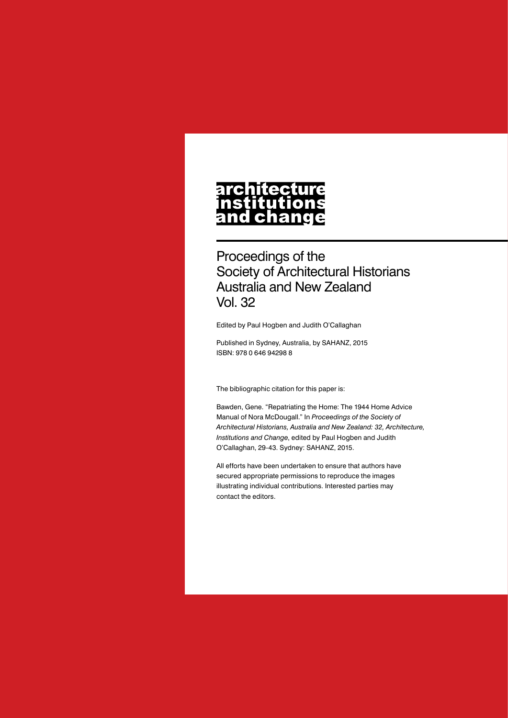# architecture nstitutions<br>and change

Proceedings of the Society of Architectural Historians Australia and New Zealand Vol. 32

Edited by Paul Hogben and Judith O'Callaghan

Published in Sydney, Australia, by SAHANZ, 2015 ISBN: 978 0 646 94298 8

The bibliographic citation for this paper is:

Bawden, Gene. "Repatriating the Home: The 1944 Home Advice Manual of Nora McDougall." In *Proceedings of the Society of Architectural Historians, Australia and New Zealand: 32, Architecture, Institutions and Change*, edited by Paul Hogben and Judith O'Callaghan, 29-43. Sydney: SAHANZ, 2015.

All efforts have been undertaken to ensure that authors have secured appropriate permissions to reproduce the images illustrating individual contributions. Interested parties may contact the editors.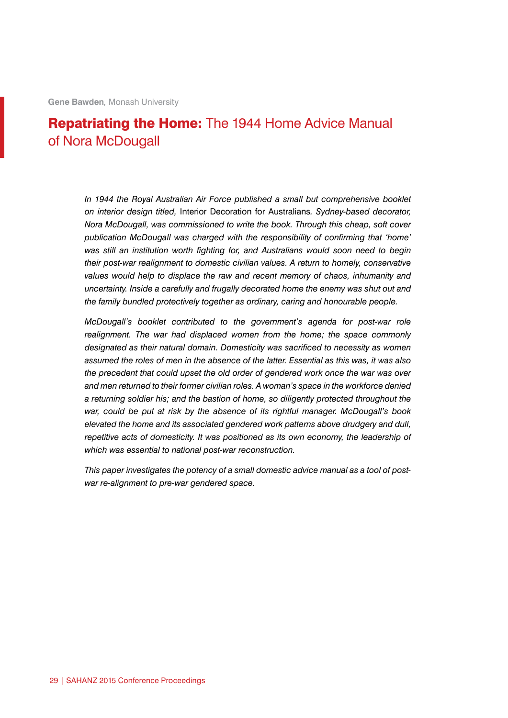## Repatriating the Home: The 1944 Home Advice Manual of Nora McDougall

*In 1944 the Royal Australian Air Force published a small but comprehensive booklet on interior design titled,* Interior Decoration for Australians*. Sydney-based decorator, Nora McDougall, was commissioned to write the book. Through this cheap, soft cover publication McDougall was charged with the responsibility of confirming that 'home' was still an institution worth fighting for, and Australians would soon need to begin their post-war realignment to domestic civilian values. A return to homely, conservative values would help to displace the raw and recent memory of chaos, inhumanity and uncertainty. Inside a carefully and frugally decorated home the enemy was shut out and the family bundled protectively together as ordinary, caring and honourable people.*

*McDougall's booklet contributed to the government's agenda for post-war role*  realignment. The war had displaced women from the home; the space commonly *designated as their natural domain. Domesticity was sacrificed to necessity as women assumed the roles of men in the absence of the latter. Essential as this was, it was also the precedent that could upset the old order of gendered work once the war was over and men returned to their former civilian roles. A woman's space in the workforce denied a returning soldier his; and the bastion of home, so diligently protected throughout the war, could be put at risk by the absence of its rightful manager. McDougall's book elevated the home and its associated gendered work patterns above drudgery and dull,*  repetitive acts of domesticity. It was positioned as its own economy, the leadership of *which was essential to national post-war reconstruction.*

*This paper investigates the potency of a small domestic advice manual as a tool of postwar re-alignment to pre-war gendered space.*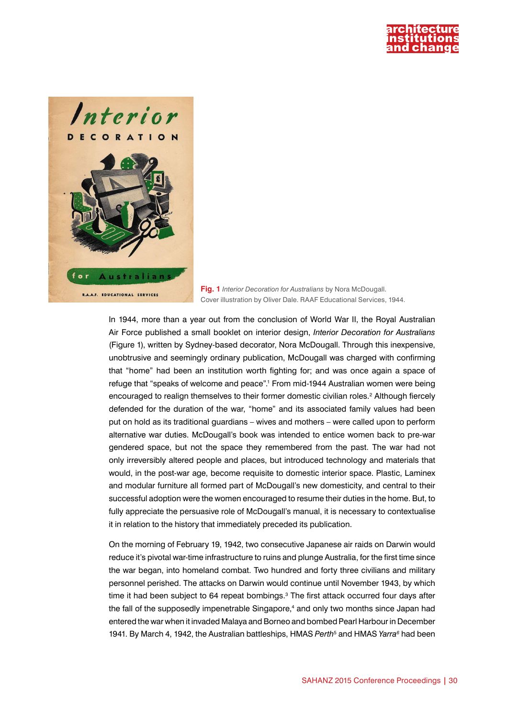



**Fig. 1** *Interior Decoration for Australians* by Nora McDougall. Cover illustration by Oliver Dale. RAAF Educational Services, 1944.

In 1944, more than a year out from the conclusion of World War II, the Royal Australian Air Force published a small booklet on interior design, *Interior Decoration for Australians*  (Figure 1), written by Sydney-based decorator, Nora McDougall. Through this inexpensive, unobtrusive and seemingly ordinary publication, McDougall was charged with confirming that "home" had been an institution worth fighting for; and was once again a space of refuge that "speaks of welcome and peace".<sup>1</sup> From mid-1944 Australian women were being encouraged to realign themselves to their former domestic civilian roles.<sup>2</sup> Although fiercely defended for the duration of the war, "home" and its associated family values had been put on hold as its traditional guardians – wives and mothers – were called upon to perform alternative war duties. McDougall's book was intended to entice women back to pre-war gendered space, but not the space they remembered from the past. The war had not only irreversibly altered people and places, but introduced technology and materials that would, in the post-war age, become requisite to domestic interior space. Plastic, Laminex and modular furniture all formed part of McDougall's new domesticity, and central to their successful adoption were the women encouraged to resume their duties in the home. But, to fully appreciate the persuasive role of McDougall's manual, it is necessary to contextualise it in relation to the history that immediately preceded its publication.

On the morning of February 19, 1942, two consecutive Japanese air raids on Darwin would reduce it's pivotal war-time infrastructure to ruins and plunge Australia, for the first time since the war began, into homeland combat. Two hundred and forty three civilians and military personnel perished. The attacks on Darwin would continue until November 1943, by which time it had been subject to 64 repeat bombings. $3$  The first attack occurred four days after the fall of the supposedly impenetrable Singapore,<sup>4</sup> and only two months since Japan had entered the war when it invaded Malaya and Borneo and bombed Pearl Harbour in December 1941. By March 4, 1942, the Australian battleships, HMAS *Perth*<sup>5</sup> and HMAS *Yarra<sup>6</sup>* had been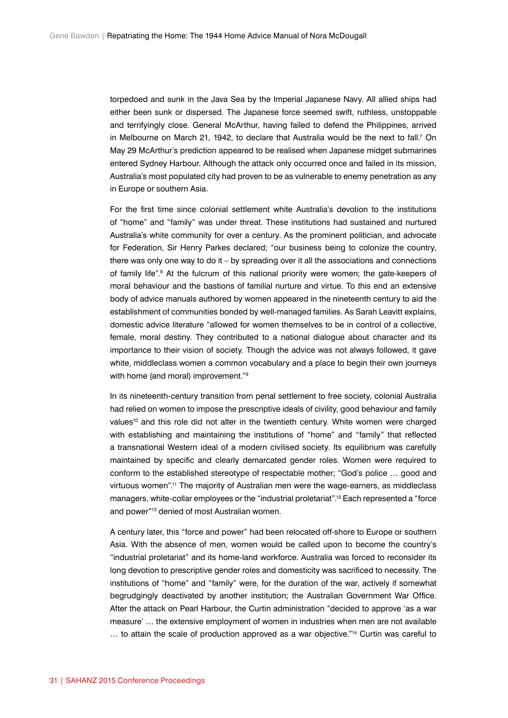torpedoed and sunk in the Java Sea by the Imperial Japanese Navy. All allied ships had either been sunk or dispersed. The Japanese force seemed swift, ruthless, unstoppable and terrifyingly close. General McArthur, having failed to defend the Philippines, arrived in Melbourne on March 21, 1942, to declare that Australia would be the next to fall.7 On May 29 McArthur's prediction appeared to be realised when Japanese midget submarines entered Sydney Harbour. Although the attack only occurred once and failed in its mission, Australia's most populated city had proven to be as vulnerable to enemy penetration as any in Europe or southern Asia.

For the first time since colonial settlement white Australia's devotion to the institutions of "home" and "family" was under threat. These institutions had sustained and nurtured Australia's white community for over a century. As the prominent politician, and advocate for Federation, Sir Henry Parkes declared; "our business being to colonize the country, there was only one way to do it – by spreading over it all the associations and connections of family life".<sup>8</sup> At the fulcrum of this national priority were women; the gate-keepers of moral behaviour and the bastions of familial nurture and virtue. To this end an extensive body of advice manuals authored by women appeared in the nineteenth century to aid the establishment of communities bonded by well-managed families. As Sarah Leavitt explains, domestic advice literature "allowed for women themselves to be in control of a collective, female, moral destiny. They contributed to a national dialogue about character and its importance to their vision of society. Though the advice was not always followed, it gave white, middleclass women a common vocabulary and a place to begin their own journeys with home (and moral) improvement."<sup>9</sup>

In its nineteenth-century transition from penal settlement to free society, colonial Australia had relied on women to impose the prescriptive ideals of civility, good behaviour and family values<sup>10</sup> and this role did not alter in the twentieth century. White women were charged with establishing and maintaining the institutions of "home" and "family" that reflected a transnational Western ideal of a modern civilised society. Its equilibrium was carefully maintained by specific and clearly demarcated gender roles. Women were required to conform to the established stereotype of respectable mother; "God's police … good and virtuous women".11 The majority of Australian men were the wage-earners, as middleclass managers, white-collar employees or the "industrial proletariat".<sup>12</sup> Each represented a "force and power"<sup>13</sup> denied of most Australian women.

A century later, this "force and power" had been relocated off-shore to Europe or southern Asia. With the absence of men, women would be called upon to become the country's "industrial proletariat" and its home-land workforce. Australia was forced to reconsider its long devotion to prescriptive gender roles and domesticity was sacrificed to necessity. The institutions of "home" and "family" were, for the duration of the war, actively if somewhat begrudgingly deactivated by another institution; the Australian Government War Office. After the attack on Pearl Harbour, the Curtin administration "decided to approve 'as a war measure' … the extensive employment of women in industries when men are not available … to attain the scale of production approved as a war objective."14 Curtin was careful to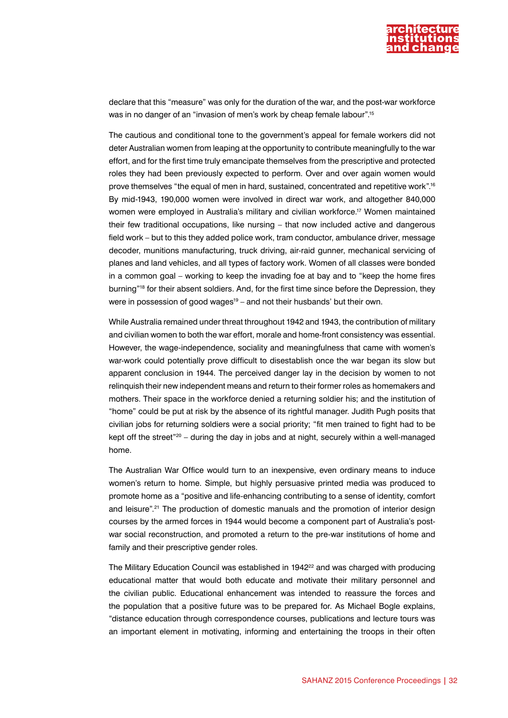

declare that this "measure" was only for the duration of the war, and the post-war workforce was in no danger of an "invasion of men's work by cheap female labour".15

The cautious and conditional tone to the government's appeal for female workers did not deter Australian women from leaping at the opportunity to contribute meaningfully to the war effort, and for the first time truly emancipate themselves from the prescriptive and protected roles they had been previously expected to perform. Over and over again women would prove themselves "the equal of men in hard, sustained, concentrated and repetitive work".16 By mid-1943, 190,000 women were involved in direct war work, and altogether 840,000 women were employed in Australia's military and civilian workforce.17 Women maintained their few traditional occupations, like nursing – that now included active and dangerous field work – but to this they added police work, tram conductor, ambulance driver, message decoder, munitions manufacturing, truck driving, air-raid gunner, mechanical servicing of planes and land vehicles, and all types of factory work. Women of all classes were bonded in a common goal – working to keep the invading foe at bay and to "keep the home fires burning"18 for their absent soldiers. And, for the first time since before the Depression, they were in possession of good wages<sup>19</sup> – and not their husbands' but their own.

While Australia remained under threat throughout 1942 and 1943, the contribution of military and civilian women to both the war effort, morale and home-front consistency was essential. However, the wage-independence, sociality and meaningfulness that came with women's war-work could potentially prove difficult to disestablish once the war began its slow but apparent conclusion in 1944. The perceived danger lay in the decision by women to not relinquish their new independent means and return to their former roles as homemakers and mothers. Their space in the workforce denied a returning soldier his; and the institution of "home" could be put at risk by the absence of its rightful manager. Judith Pugh posits that civilian jobs for returning soldiers were a social priority; "fit men trained to fight had to be kept off the street"<sup>20</sup> – during the day in jobs and at night, securely within a well-managed home.

The Australian War Office would turn to an inexpensive, even ordinary means to induce women's return to home. Simple, but highly persuasive printed media was produced to promote home as a "positive and life-enhancing contributing to a sense of identity, comfort and leisure".<sup>21</sup> The production of domestic manuals and the promotion of interior design courses by the armed forces in 1944 would become a component part of Australia's postwar social reconstruction, and promoted a return to the pre-war institutions of home and family and their prescriptive gender roles.

The Military Education Council was established in  $1942<sup>22</sup>$  and was charged with producing educational matter that would both educate and motivate their military personnel and the civilian public. Educational enhancement was intended to reassure the forces and the population that a positive future was to be prepared for. As Michael Bogle explains, "distance education through correspondence courses, publications and lecture tours was an important element in motivating, informing and entertaining the troops in their often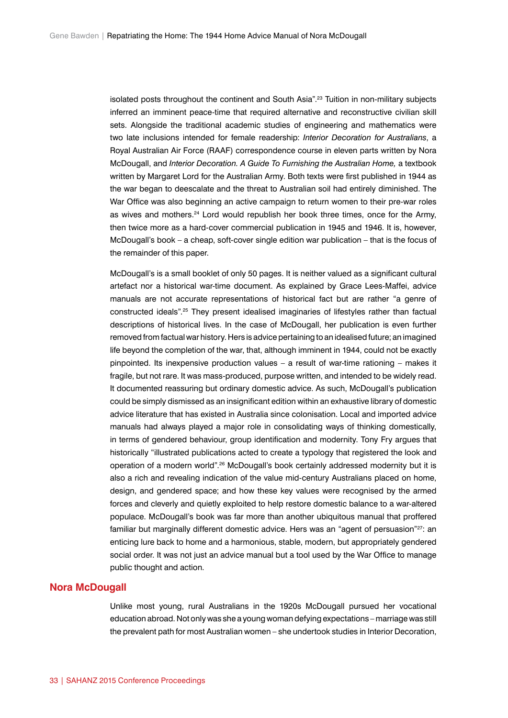isolated posts throughout the continent and South Asia".23 Tuition in non-military subjects inferred an imminent peace-time that required alternative and reconstructive civilian skill sets. Alongside the traditional academic studies of engineering and mathematics were two late inclusions intended for female readership: *Interior Decoration for Australians*, a Royal Australian Air Force (RAAF) correspondence course in eleven parts written by Nora McDougall, and *Interior Decoration. A Guide To Furnishing the Australian Home,* a textbook written by Margaret Lord for the Australian Army. Both texts were first published in 1944 as the war began to deescalate and the threat to Australian soil had entirely diminished. The War Office was also beginning an active campaign to return women to their pre-war roles as wives and mothers.<sup>24</sup> Lord would republish her book three times, once for the Army, then twice more as a hard-cover commercial publication in 1945 and 1946. It is, however, McDougall's book – a cheap, soft-cover single edition war publication – that is the focus of the remainder of this paper.

McDougall's is a small booklet of only 50 pages. It is neither valued as a significant cultural artefact nor a historical war-time document. As explained by Grace Lees-Maffei, advice manuals are not accurate representations of historical fact but are rather "a genre of constructed ideals".25 They present idealised imaginaries of lifestyles rather than factual descriptions of historical lives. In the case of McDougall, her publication is even further removed from factual war history. Hers is advice pertaining to an idealised future; an imagined life beyond the completion of the war, that, although imminent in 1944, could not be exactly pinpointed. Its inexpensive production values – a result of war-time rationing – makes it fragile, but not rare. It was mass-produced, purpose written, and intended to be widely read. It documented reassuring but ordinary domestic advice. As such, McDougall's publication could be simply dismissed as an insignificant edition within an exhaustive library of domestic advice literature that has existed in Australia since colonisation. Local and imported advice manuals had always played a major role in consolidating ways of thinking domestically, in terms of gendered behaviour, group identification and modernity. Tony Fry argues that historically "illustrated publications acted to create a typology that registered the look and operation of a modern world".26 McDougall's book certainly addressed modernity but it is also a rich and revealing indication of the value mid-century Australians placed on home, design, and gendered space; and how these key values were recognised by the armed forces and cleverly and quietly exploited to help restore domestic balance to a war-altered populace. McDougall's book was far more than another ubiquitous manual that proffered familiar but marginally different domestic advice. Hers was an "agent of persuasion"<sup>27</sup>; an enticing lure back to home and a harmonious, stable, modern, but appropriately gendered social order. It was not just an advice manual but a tool used by the War Office to manage public thought and action.

### **Nora McDougall**

Unlike most young, rural Australians in the 1920s McDougall pursued her vocational education abroad. Not only was she a young woman defying expectations – marriage was still the prevalent path for most Australian women – she undertook studies in Interior Decoration,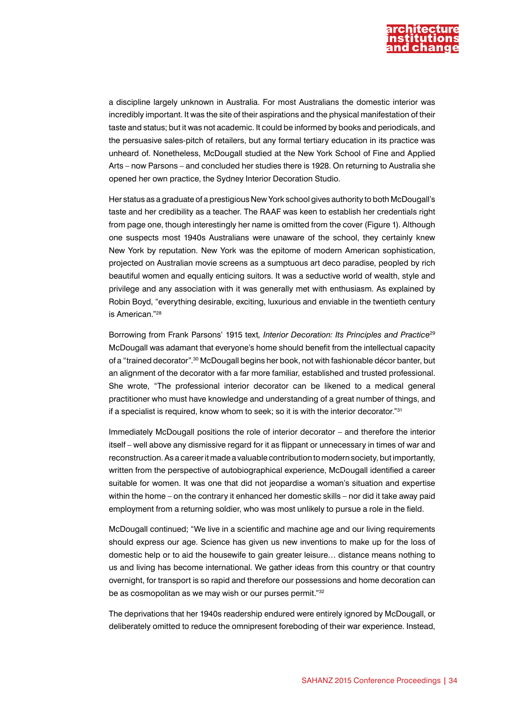

a discipline largely unknown in Australia. For most Australians the domestic interior was incredibly important. It was the site of their aspirations and the physical manifestation of their taste and status; but it was not academic. It could be informed by books and periodicals, and the persuasive sales-pitch of retailers, but any formal tertiary education in its practice was unheard of. Nonetheless, McDougall studied at the New York School of Fine and Applied Arts – now Parsons – and concluded her studies there is 1928. On returning to Australia she opened her own practice, the Sydney Interior Decoration Studio.

Her status as a graduate of a prestigious New York school gives authority to both McDougall's taste and her credibility as a teacher. The RAAF was keen to establish her credentials right from page one, though interestingly her name is omitted from the cover (Figure 1). Although one suspects most 1940s Australians were unaware of the school, they certainly knew New York by reputation. New York was the epitome of modern American sophistication, projected on Australian movie screens as a sumptuous art deco paradise, peopled by rich beautiful women and equally enticing suitors. It was a seductive world of wealth, style and privilege and any association with it was generally met with enthusiasm. As explained by Robin Boyd, "everything desirable, exciting, luxurious and enviable in the twentieth century is American<sup>"28</sup>

Borrowing from Frank Parsons' 1915 text*, Interior Decoration: Its Principles and Practice*<sup>29</sup> McDougall was adamant that everyone's home should benefit from the intellectual capacity of a "trained decorator".30 McDougall begins her book, not with fashionable décor banter, but an alignment of the decorator with a far more familiar, established and trusted professional. She wrote, "The professional interior decorator can be likened to a medical general practitioner who must have knowledge and understanding of a great number of things, and if a specialist is required, know whom to seek; so it is with the interior decorator."<sup>31</sup>

Immediately McDougall positions the role of interior decorator – and therefore the interior itself – well above any dismissive regard for it as flippant or unnecessary in times of war and reconstruction. As a career it made a valuable contribution to modern society, but importantly, written from the perspective of autobiographical experience, McDougall identified a career suitable for women. It was one that did not jeopardise a woman's situation and expertise within the home – on the contrary it enhanced her domestic skills – nor did it take away paid employment from a returning soldier, who was most unlikely to pursue a role in the field.

McDougall continued; "We live in a scientific and machine age and our living requirements should express our age. Science has given us new inventions to make up for the loss of domestic help or to aid the housewife to gain greater leisure… distance means nothing to us and living has become international. We gather ideas from this country or that country overnight, for transport is so rapid and therefore our possessions and home decoration can be as cosmopolitan as we may wish or our purses permit."<sup>32</sup>

The deprivations that her 1940s readership endured were entirely ignored by McDougall, or deliberately omitted to reduce the omnipresent foreboding of their war experience. Instead,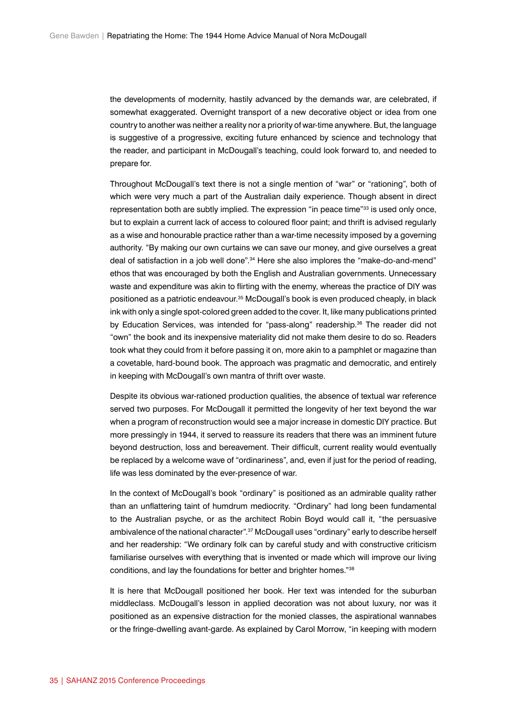the developments of modernity, hastily advanced by the demands war, are celebrated, if somewhat exaggerated. Overnight transport of a new decorative object or idea from one country to another was neither a reality nor a priority of war-time anywhere. But, the language is suggestive of a progressive, exciting future enhanced by science and technology that the reader, and participant in McDougall's teaching, could look forward to, and needed to prepare for.

Throughout McDougall's text there is not a single mention of "war" or "rationing", both of which were very much a part of the Australian daily experience. Though absent in direct representation both are subtly implied. The expression "in peace time"<sup>33</sup> is used only once, but to explain a current lack of access to coloured floor paint; and thrift is advised regularly as a wise and honourable practice rather than a war-time necessity imposed by a governing authority. "By making our own curtains we can save our money, and give ourselves a great deal of satisfaction in a job well done".34 Here she also implores the "make-do-and-mend" ethos that was encouraged by both the English and Australian governments. Unnecessary waste and expenditure was akin to flirting with the enemy, whereas the practice of DIY was positioned as a patriotic endeavour.35 McDougall's book is even produced cheaply, in black ink with only a single spot-colored green added to the cover. It, like many publications printed by Education Services, was intended for "pass-along" readership.<sup>36</sup> The reader did not "own" the book and its inexpensive materiality did not make them desire to do so. Readers took what they could from it before passing it on, more akin to a pamphlet or magazine than a covetable, hard-bound book. The approach was pragmatic and democratic, and entirely in keeping with McDougall's own mantra of thrift over waste.

Despite its obvious war-rationed production qualities, the absence of textual war reference served two purposes. For McDougall it permitted the longevity of her text beyond the war when a program of reconstruction would see a major increase in domestic DIY practice. But more pressingly in 1944, it served to reassure its readers that there was an imminent future beyond destruction, loss and bereavement. Their difficult, current reality would eventually be replaced by a welcome wave of "ordinariness", and, even if just for the period of reading, life was less dominated by the ever-presence of war.

In the context of McDougall's book "ordinary" is positioned as an admirable quality rather than an unflattering taint of humdrum mediocrity. "Ordinary" had long been fundamental to the Australian psyche, or as the architect Robin Boyd would call it, "the persuasive ambivalence of the national character".37 McDougall uses "ordinary" early to describe herself and her readership: "We ordinary folk can by careful study and with constructive criticism familiarise ourselves with everything that is invented or made which will improve our living conditions, and lay the foundations for better and brighter homes."38

It is here that McDougall positioned her book. Her text was intended for the suburban middleclass. McDougall's lesson in applied decoration was not about luxury, nor was it positioned as an expensive distraction for the monied classes, the aspirational wannabes or the fringe-dwelling avant-garde. As explained by Carol Morrow, "in keeping with modern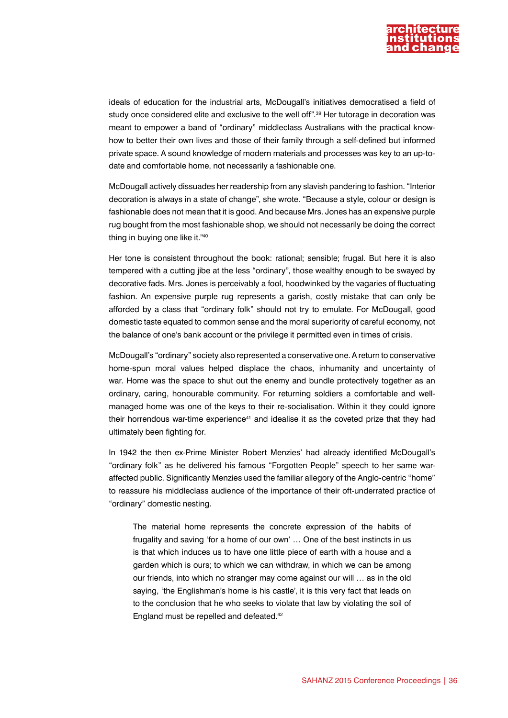

ideals of education for the industrial arts, McDougall's initiatives democratised a field of study once considered elite and exclusive to the well off".<sup>39</sup> Her tutorage in decoration was meant to empower a band of "ordinary" middleclass Australians with the practical knowhow to better their own lives and those of their family through a self-defined but informed private space. A sound knowledge of modern materials and processes was key to an up-todate and comfortable home, not necessarily a fashionable one.

McDougall actively dissuades her readership from any slavish pandering to fashion. "Interior decoration is always in a state of change", she wrote. "Because a style, colour or design is fashionable does not mean that it is good. And because Mrs. Jones has an expensive purple rug bought from the most fashionable shop, we should not necessarily be doing the correct thing in buying one like it."40

Her tone is consistent throughout the book: rational; sensible; frugal. But here it is also tempered with a cutting jibe at the less "ordinary", those wealthy enough to be swayed by decorative fads. Mrs. Jones is perceivably a fool, hoodwinked by the vagaries of fluctuating fashion. An expensive purple rug represents a garish, costly mistake that can only be afforded by a class that "ordinary folk" should not try to emulate. For McDougall, good domestic taste equated to common sense and the moral superiority of careful economy, not the balance of one's bank account or the privilege it permitted even in times of crisis.

McDougall's "ordinary" society also represented a conservative one. A return to conservative home-spun moral values helped displace the chaos, inhumanity and uncertainty of war. Home was the space to shut out the enemy and bundle protectively together as an ordinary, caring, honourable community. For returning soldiers a comfortable and wellmanaged home was one of the keys to their re-socialisation. Within it they could ignore their horrendous war-time experience<sup>41</sup> and idealise it as the coveted prize that they had ultimately been fighting for.

In 1942 the then ex-Prime Minister Robert Menzies' had already identified McDougall's "ordinary folk" as he delivered his famous "Forgotten People" speech to her same waraffected public. Significantly Menzies used the familiar allegory of the Anglo-centric "home" to reassure his middleclass audience of the importance of their oft-underrated practice of "ordinary" domestic nesting.

The material home represents the concrete expression of the habits of frugality and saving 'for a home of our own' … One of the best instincts in us is that which induces us to have one little piece of earth with a house and a garden which is ours; to which we can withdraw, in which we can be among our friends, into which no stranger may come against our will … as in the old saying, 'the Englishman's home is his castle', it is this very fact that leads on to the conclusion that he who seeks to violate that law by violating the soil of England must be repelled and defeated.42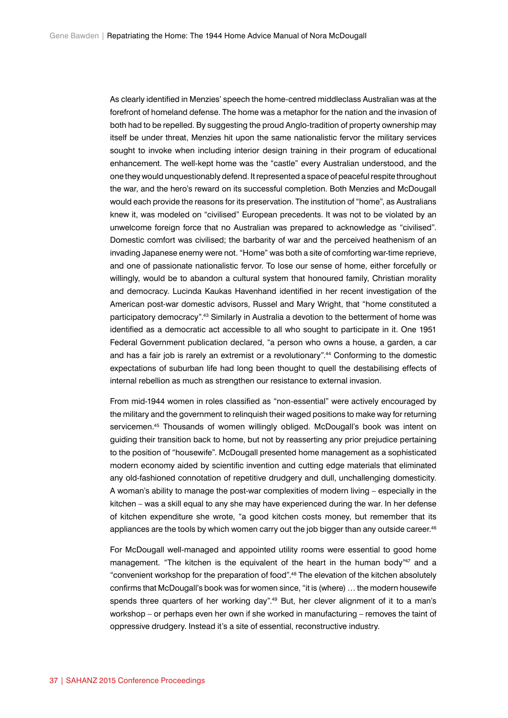As clearly identified in Menzies' speech the home-centred middleclass Australian was at the forefront of homeland defense. The home was a metaphor for the nation and the invasion of both had to be repelled. By suggesting the proud Anglo-tradition of property ownership may itself be under threat, Menzies hit upon the same nationalistic fervor the military services sought to invoke when including interior design training in their program of educational enhancement. The well-kept home was the "castle" every Australian understood, and the one they would unquestionably defend. It represented a space of peaceful respite throughout the war, and the hero's reward on its successful completion. Both Menzies and McDougall would each provide the reasons for its preservation. The institution of "home", as Australians knew it, was modeled on "civilised" European precedents. It was not to be violated by an unwelcome foreign force that no Australian was prepared to acknowledge as "civilised". Domestic comfort was civilised; the barbarity of war and the perceived heathenism of an invading Japanese enemy were not. "Home" was both a site of comforting war-time reprieve, and one of passionate nationalistic fervor. To lose our sense of home, either forcefully or willingly, would be to abandon a cultural system that honoured family, Christian morality and democracy. Lucinda Kaukas Havenhand identified in her recent investigation of the American post-war domestic advisors, Russel and Mary Wright, that "home constituted a participatory democracy".43 Similarly in Australia a devotion to the betterment of home was identified as a democratic act accessible to all who sought to participate in it. One 1951 Federal Government publication declared, "a person who owns a house, a garden, a car and has a fair job is rarely an extremist or a revolutionary".44 Conforming to the domestic expectations of suburban life had long been thought to quell the destabilising effects of internal rebellion as much as strengthen our resistance to external invasion.

From mid-1944 women in roles classified as "non-essential" were actively encouraged by the military and the government to relinquish their waged positions to make way for returning servicemen.45 Thousands of women willingly obliged. McDougall's book was intent on guiding their transition back to home, but not by reasserting any prior prejudice pertaining to the position of "housewife". McDougall presented home management as a sophisticated modern economy aided by scientific invention and cutting edge materials that eliminated any old-fashioned connotation of repetitive drudgery and dull, unchallenging domesticity. A woman's ability to manage the post-war complexities of modern living – especially in the kitchen – was a skill equal to any she may have experienced during the war. In her defense of kitchen expenditure she wrote, "a good kitchen costs money, but remember that its appliances are the tools by which women carry out the job bigger than any outside career.<sup>46</sup>

For McDougall well-managed and appointed utility rooms were essential to good home management. "The kitchen is the equivalent of the heart in the human body"<sup>47</sup> and a "convenient workshop for the preparation of food".48 The elevation of the kitchen absolutely confirms that McDougall's book was for women since, "it is (where) … the modern housewife spends three quarters of her working day".<sup>49</sup> But, her clever alignment of it to a man's workshop – or perhaps even her own if she worked in manufacturing – removes the taint of oppressive drudgery. Instead it's a site of essential, reconstructive industry.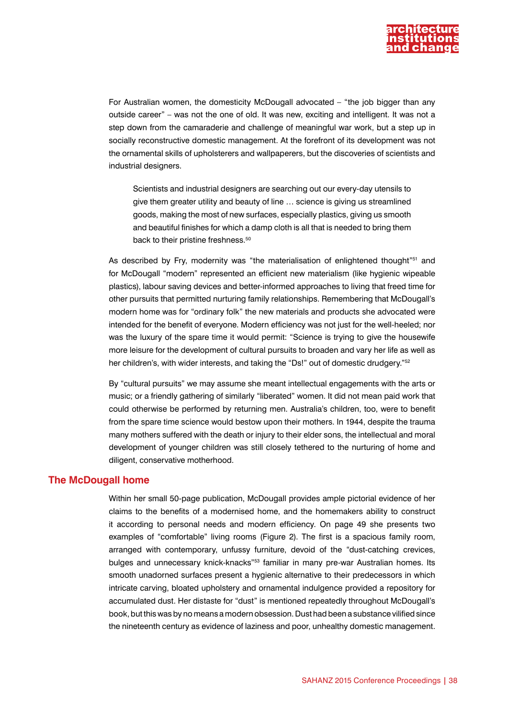

For Australian women, the domesticity McDougall advocated – "the job bigger than any outside career" – was not the one of old. It was new, exciting and intelligent. It was not a step down from the camaraderie and challenge of meaningful war work, but a step up in socially reconstructive domestic management. At the forefront of its development was not the ornamental skills of upholsterers and wallpaperers, but the discoveries of scientists and industrial designers.

Scientists and industrial designers are searching out our every-day utensils to give them greater utility and beauty of line … science is giving us streamlined goods, making the most of new surfaces, especially plastics, giving us smooth and beautiful finishes for which a damp cloth is all that is needed to bring them back to their pristine freshness.<sup>50</sup>

As described by Fry, modernity was "the materialisation of enlightened thought"<sup>51</sup> and for McDougall "modern" represented an efficient new materialism (like hygienic wipeable plastics), labour saving devices and better-informed approaches to living that freed time for other pursuits that permitted nurturing family relationships. Remembering that McDougall's modern home was for "ordinary folk" the new materials and products she advocated were intended for the benefit of everyone. Modern efficiency was not just for the well-heeled; nor was the luxury of the spare time it would permit: "Science is trying to give the housewife more leisure for the development of cultural pursuits to broaden and vary her life as well as her children's, with wider interests, and taking the "Ds!" out of domestic drudgery."<sup>52</sup>

By "cultural pursuits" we may assume she meant intellectual engagements with the arts or music; or a friendly gathering of similarly "liberated" women. It did not mean paid work that could otherwise be performed by returning men. Australia's children, too, were to benefit from the spare time science would bestow upon their mothers. In 1944, despite the trauma many mothers suffered with the death or injury to their elder sons, the intellectual and moral development of younger children was still closely tethered to the nurturing of home and diligent, conservative motherhood.

### **The McDougall home**

Within her small 50-page publication, McDougall provides ample pictorial evidence of her claims to the benefits of a modernised home, and the homemakers ability to construct it according to personal needs and modern efficiency. On page 49 she presents two examples of "comfortable" living rooms (Figure 2). The first is a spacious family room, arranged with contemporary, unfussy furniture, devoid of the "dust-catching crevices, bulges and unnecessary knick-knacks<sup>"53</sup> familiar in many pre-war Australian homes. Its smooth unadorned surfaces present a hygienic alternative to their predecessors in which intricate carving, bloated upholstery and ornamental indulgence provided a repository for accumulated dust. Her distaste for "dust" is mentioned repeatedly throughout McDougall's book, but this was by no means a modern obsession. Dust had been a substance vilified since the nineteenth century as evidence of laziness and poor, unhealthy domestic management.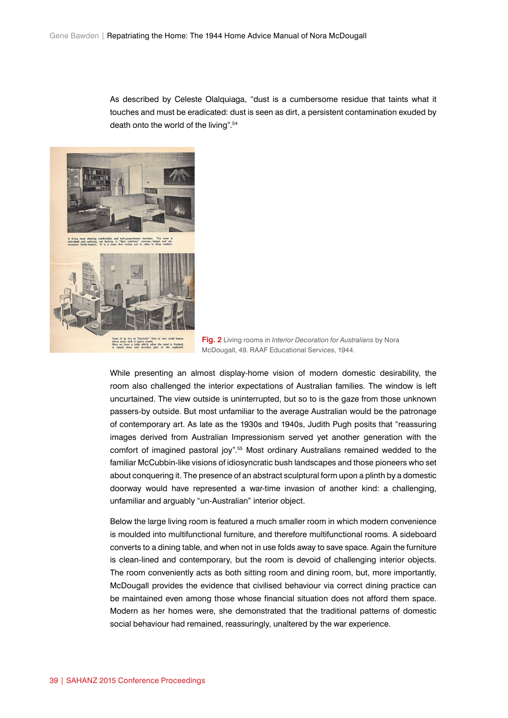As described by Celeste Olalquiaga, "dust is a cumbersome residue that taints what it touches and must be eradicated: dust is seen as dirt, a persistent contamination exuded by death onto the world of the living".54



**Fig. 2** Living rooms in *Interior Decoration for Australians* by Nora McDougall, 49. RAAF Educational Services, 1944.

While presenting an almost display-home vision of modern domestic desirability, the room also challenged the interior expectations of Australian families. The window is left uncurtained. The view outside is uninterrupted, but so to is the gaze from those unknown passers-by outside. But most unfamiliar to the average Australian would be the patronage of contemporary art. As late as the 1930s and 1940s, Judith Pugh posits that "reassuring images derived from Australian Impressionism served yet another generation with the comfort of imagined pastoral joy".55 Most ordinary Australians remained wedded to the familiar McCubbin-like visions of idiosyncratic bush landscapes and those pioneers who set about conquering it. The presence of an abstract sculptural form upon a plinth by a domestic doorway would have represented a war-time invasion of another kind: a challenging, unfamiliar and arguably "un-Australian" interior object.

Below the large living room is featured a much smaller room in which modern convenience is moulded into multifunctional furniture, and therefore multifunctional rooms. A sideboard converts to a dining table, and when not in use folds away to save space. Again the furniture is clean-lined and contemporary, but the room is devoid of challenging interior objects. The room conveniently acts as both sitting room and dining room, but, more importantly, McDougall provides the evidence that civilised behaviour via correct dining practice can be maintained even among those whose financial situation does not afford them space. Modern as her homes were, she demonstrated that the traditional patterns of domestic social behaviour had remained, reassuringly, unaltered by the war experience.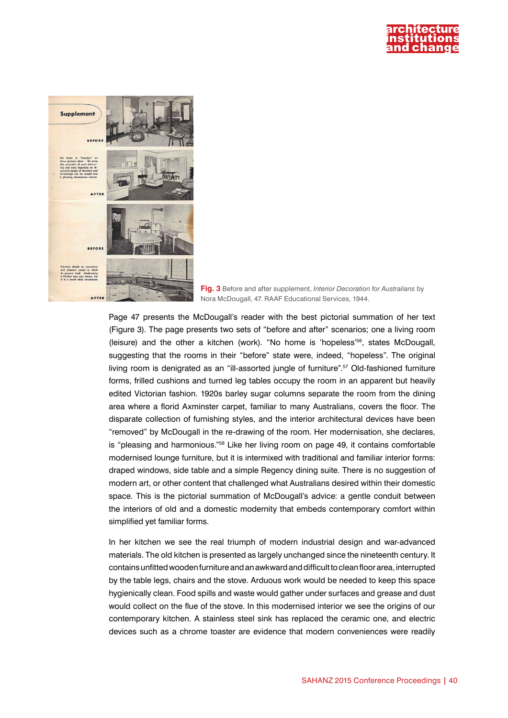



**Fig. 3** Before and after supplement, *Interior Decoration for Australians* by Nora McDougall, 47. RAAF Educational Services, 1944.

Page 47 presents the McDougall's reader with the best pictorial summation of her text (Figure 3). The page presents two sets of "before and after" scenarios; one a living room (leisure) and the other a kitchen (work). "No home is 'hopeless'56, states McDougall, suggesting that the rooms in their "before" state were, indeed, "hopeless". The original living room is denigrated as an "ill-assorted jungle of furniture".<sup>57</sup> Old-fashioned furniture forms, frilled cushions and turned leg tables occupy the room in an apparent but heavily edited Victorian fashion. 1920s barley sugar columns separate the room from the dining area where a florid Axminster carpet, familiar to many Australians, covers the floor. The disparate collection of furnishing styles, and the interior architectural devices have been "removed" by McDougall in the re-drawing of the room. Her modernisation, she declares, is "pleasing and harmonious."58 Like her living room on page 49, it contains comfortable modernised lounge furniture, but it is intermixed with traditional and familiar interior forms: draped windows, side table and a simple Regency dining suite. There is no suggestion of modern art, or other content that challenged what Australians desired within their domestic space. This is the pictorial summation of McDougall's advice: a gentle conduit between the interiors of old and a domestic modernity that embeds contemporary comfort within simplified yet familiar forms.

In her kitchen we see the real triumph of modern industrial design and war-advanced materials. The old kitchen is presented as largely unchanged since the nineteenth century. It contains unfitted wooden furniture and an awkward and difficult to clean floor area, interrupted by the table legs, chairs and the stove. Arduous work would be needed to keep this space hygienically clean. Food spills and waste would gather under surfaces and grease and dust would collect on the flue of the stove. In this modernised interior we see the origins of our contemporary kitchen. A stainless steel sink has replaced the ceramic one, and electric devices such as a chrome toaster are evidence that modern conveniences were readily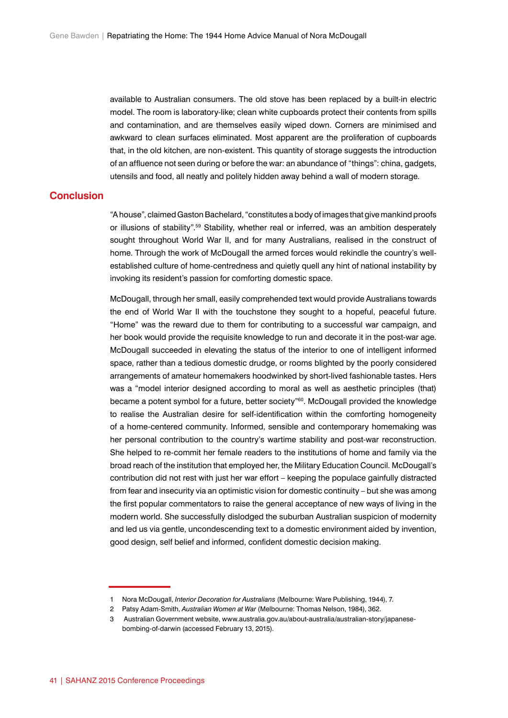available to Australian consumers. The old stove has been replaced by a built-in electric model. The room is laboratory-like; clean white cupboards protect their contents from spills and contamination, and are themselves easily wiped down. Corners are minimised and awkward to clean surfaces eliminated. Most apparent are the proliferation of cupboards that, in the old kitchen, are non-existent. This quantity of storage suggests the introduction of an affluence not seen during or before the war: an abundance of "things": china, gadgets, utensils and food, all neatly and politely hidden away behind a wall of modern storage.

#### **Conclusion**

"A house", claimed Gaston Bachelard, "constitutes a body of images that give mankind proofs or illusions of stability".59 Stability, whether real or inferred, was an ambition desperately sought throughout World War II, and for many Australians, realised in the construct of home. Through the work of McDougall the armed forces would rekindle the country's wellestablished culture of home-centredness and quietly quell any hint of national instability by invoking its resident's passion for comforting domestic space.

McDougall, through her small, easily comprehended text would provide Australians towards the end of World War II with the touchstone they sought to a hopeful, peaceful future. "Home" was the reward due to them for contributing to a successful war campaign, and her book would provide the requisite knowledge to run and decorate it in the post-war age. McDougall succeeded in elevating the status of the interior to one of intelligent informed space, rather than a tedious domestic drudge, or rooms blighted by the poorly considered arrangements of amateur homemakers hoodwinked by short-lived fashionable tastes. Hers was a "model interior designed according to moral as well as aesthetic principles (that) became a potent symbol for a future, better society"<sup>60</sup>. McDougall provided the knowledge to realise the Australian desire for self-identification within the comforting homogeneity of a home-centered community. Informed, sensible and contemporary homemaking was her personal contribution to the country's wartime stability and post-war reconstruction. She helped to re-commit her female readers to the institutions of home and family via the broad reach of the institution that employed her, the Military Education Council. McDougall's contribution did not rest with just her war effort – keeping the populace gainfully distracted from fear and insecurity via an optimistic vision for domestic continuity – but she was among the first popular commentators to raise the general acceptance of new ways of living in the modern world. She successfully dislodged the suburban Australian suspicion of modernity and led us via gentle, uncondescending text to a domestic environment aided by invention, good design, self belief and informed, confident domestic decision making.

<sup>1</sup> Nora McDougall, *Interior Decoration for Australians* (Melbourne: Ware Publishing, 1944), 7.

<sup>2</sup> Patsy Adam-Smith, *Australian Women at War* (Melbourne: Thomas Nelson, 1984), 362.

<sup>3</sup> Australian Government website, [www.australia.gov.au/about-australia/australian-story/japanese](http://www.australia.gov.au/about-australia/australian-story/japanese-bombing-of-darwin)[bombing-of-darwin](http://www.australia.gov.au/about-australia/australian-story/japanese-bombing-of-darwin) (accessed February 13, 2015).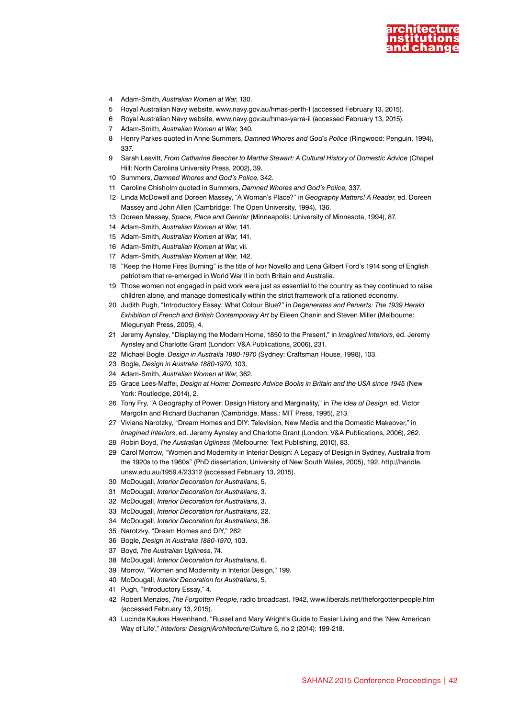

- Adam-Smith, *Australian Women at War*, 130.
- Royal Australian Navy website, [www.navy.gov.au/hmas-perth-I](http://www.navy.gov.au/hmas-perth-I) (accessed February 13, 2015).
- Royal Australian Navy website, [www.navy.gov.au/hmas-yarra-ii](http://www.navy.gov.au/hmas-yarra-ii) (accessed February 13, 2015).
- Adam-Smith, *Australian Women at War,* 340*.*
- Henry Parkes quoted in Anne Summers, *Damned Whores and God's Police* (Ringwood: Penguin, 1994), 337.
- Sarah Leavitt, *From Catharine Beecher to Martha Stewart: A Cultural History of Domestic Advice* (Chapel Hill: North Carolina University Press, 2002), 39.
- Summers, *Damned Whores and God's Police*, 342.
- Caroline Chisholm quoted in Summers, *Damned Whores and God's Police,* 337.
- Linda McDowell and Doreen Massey, "A Woman's Place?" in *Geography Matters! A Reader*, ed. Doreen Massey and John Allen (Cambridge: The Open University, 1994), 136.
- Doreen Massey, *Space, Place and Gender* (Minneapolis: University of Minnesota, 1994), 87.
- Adam-Smith, *Australian Women at War*, 141.
- Adam-Smith, *Australian Women at War*, 141.
- Adam-Smith, *Australian Women at War*, vii.
- Adam-Smith, *Australian Women at War*, 142.
- "Keep the Home Fires Burning" is the title of Ivor Novello and Lena Gilbert Ford's 1914 song of English patriotism that re-emerged in World War II in both Britain and Australia.
- Those women not engaged in paid work were just as essential to the country as they continued to raise children alone, and manage domestically within the strict framework of a rationed economy.
- Judith Pugh, "Introductory Essay: What Colour Blue?" in *Degenerates and Perverts: The 1939 Herald Exhibition of French and British Contemporary Art* by Eileen Chanin and Steven Miller (Melbourne: Miegunyah Press, 2005), 4.
- Jeremy Aynsley, "Displaying the Modern Home, 1850 to the Present," in *Imagined Interiors*, ed. Jeremy Aynsley and Charlotte Grant (London: V&A Publications, 2006), 231.
- Michael Bogle, *Design in Australia 1880-1970* (Sydney: Craftsman House, 1998), 103.
- Bogle, *Design in Australia 1880-1970*, 103.
- Adam-Smith, *Australian Women at War*, 362.
- Grace Lees-Maffei*, Design at Home: Domestic Advice Books in Britain and the USA since 1945* (New York: Routledge, 2014), 2*.*
- Tony Fry, "A Geography of Power: Design History and Marginality," in *The Idea of Design*, ed. Victor Margolin and Richard Buchanan (Cambridge, Mass.: MIT Press, 1995), 213.
- Viviana Narotzky, "Dream Homes and DIY: Television, New Media and the Domestic Makeover," in *Imagined Interiors*, ed. Jeremy Aynsley and Charlotte Grant (London: V&A Publications, 2006), 262.
- Robin Boyd, *The Australian Ugliness* (Melbourne: Text Publishing, 2010), 83.
- Carol Morrow, "Women and Modernity in Interior Design: A Legacy of Design in Sydney, Australia from the 1920s to the 1960s" (PhD dissertation, University of New South Wales, 2005), 192, [http://handle.](http://handle.unsw.edu.au/1959.4/23312) [unsw.edu.au/1959.4/23312](http://handle.unsw.edu.au/1959.4/23312) (accessed February 13, 2015).
- McDougall, *Interior Decoration for Australians*, 5.
- McDougall, *Interior Decoration for Australians*, 3.
- McDougall, *Interior Decoration for Australians*, 3.
- McDougall, *Interior Decoration for Australians*, 22.
- McDougall, *Interior Decoration for Australians*, 36.
- Narotzky, "Dream Homes and DIY," 262.
- Bogle, *Design in Australia 1880-1970*, 103.
- Boyd, *The Australian Ugliness*, 74.
- McDougall, *Interior Decoration for Australians*, 6.
- Morrow, "Women and Modernity in Interior Design," 199.
- McDougall, *Interior Decoration for Australians*, 5.
- Pugh, "Introductory Essay," 4.
- Robert Menzies, *The Forgotten People*, radio broadcast, 1942, [www.liberals.net/theforgottenpeople.htm](http://www.liberals.net/theforgottenpeople.htm) (accessed February 13, 2015).
- Lucinda Kaukas Havenhand, "Russel and Mary Wright's Guide to Easier Living and the 'New American Way of Life'," *Interiors: Design/Architecture/Culture* 5, no 2 (2014): 199-218.